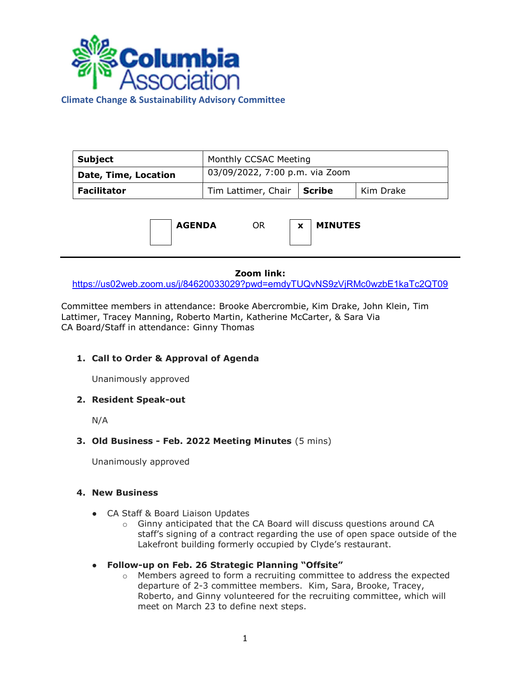

Climate Change & Sustainability Advisory Committee

| Subject                     | Monthly CCSAC Meeting          |  |           |
|-----------------------------|--------------------------------|--|-----------|
| <b>Date, Time, Location</b> | 03/09/2022, 7:00 p.m. via Zoom |  |           |
| <b>Facilitator</b>          | Tim Lattimer, Chair   Scribe   |  | Kim Drake |



#### Zoom link:

https://us02web.zoom.us/j/84620033029?pwd=emdyTUQvNS9zVjRMc0wzbE1kaTc2QT09

Committee members in attendance: Brooke Abercrombie, Kim Drake, John Klein, Tim Lattimer, Tracey Manning, Roberto Martin, Katherine McCarter, & Sara Via CA Board/Staff in attendance: Ginny Thomas

# 1. Call to Order & Approval of Agenda

Unanimously approved

## 2. Resident Speak-out

N/A

### 3. Old Business - Feb. 2022 Meeting Minutes (5 mins)

Unanimously approved

## 4. New Business

- CA Staff & Board Liaison Updates
	- $\circ$  Ginny anticipated that the CA Board will discuss questions around CA staff's signing of a contract regarding the use of open space outside of the Lakefront building formerly occupied by Clyde's restaurant.

### ● Follow-up on Feb. 26 Strategic Planning "Offsite"

 $\circ$  Members agreed to form a recruiting committee to address the expected departure of 2-3 committee members. Kim, Sara, Brooke, Tracey, Roberto, and Ginny volunteered for the recruiting committee, which will meet on March 23 to define next steps.